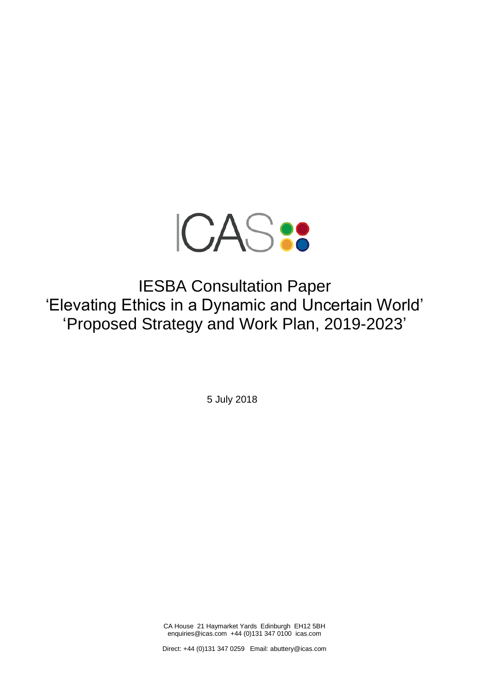

IESBA Consultation Paper 'Elevating Ethics in a Dynamic and Uncertain World' 'Proposed Strategy and Work Plan, 2019-2023'

5 July 2018

CA House 21 Haymarket Yards Edinburgh EH12 5BH enquiries@icas.com +44 (0)131 347 0100 icas.com

Direct: +44 (0)131 347 0259 Email: abuttery@icas.com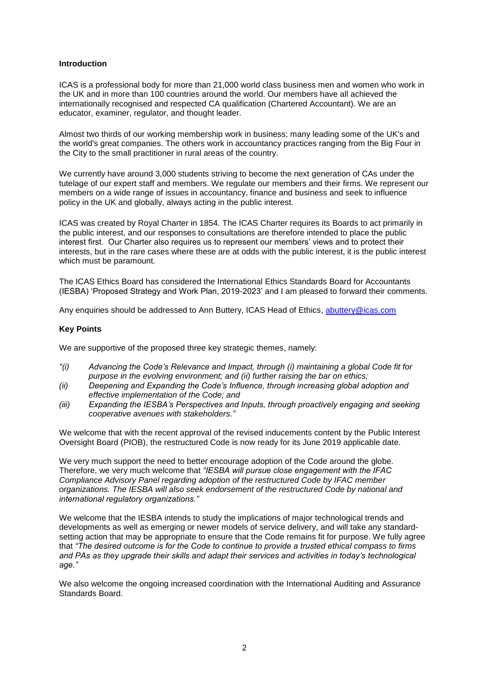# **Introduction**

ICAS is a professional body for more than 21,000 world class business men and women who work in the UK and in more than 100 countries around the world. Our members have all achieved the internationally recognised and respected CA qualification (Chartered Accountant). We are an educator, examiner, regulator, and thought leader.

Almost two thirds of our working membership work in business; many leading some of the UK's and the world's great companies. The others work in accountancy practices ranging from the Big Four in the City to the small practitioner in rural areas of the country.

We currently have around 3,000 students striving to become the next generation of CAs under the tutelage of our expert staff and members. We regulate our members and their firms. We represent our members on a wide range of issues in accountancy, finance and business and seek to influence policy in the UK and globally, always acting in the public interest.

ICAS was created by Royal Charter in 1854. The ICAS Charter requires its Boards to act primarily in the public interest, and our responses to consultations are therefore intended to place the public interest first. Our Charter also requires us to represent our members' views and to protect their interests, but in the rare cases where these are at odds with the public interest, it is the public interest which must be paramount.

The ICAS Ethics Board has considered the International Ethics Standards Board for Accountants (IESBA) 'Proposed Strategy and Work Plan, 2019-2023' and I am pleased to forward their comments.

Any enquiries should be addressed to Ann Buttery, ICAS Head of Ethics, [abuttery@icas.com](mailto:abuttery@icas.com)

# **Key Points**

We are supportive of the proposed three key strategic themes, namely:

- *"(i) Advancing the Code's Relevance and Impact, through (i) maintaining a global Code fit for purpose in the evolving environment; and (ii) further raising the bar on ethics;*
- *(ii) Deepening and Expanding the Code's Influence, through increasing global adoption and effective implementation of the Code; and*
- *(iii) Expanding the IESBA's Perspectives and Inputs, through proactively engaging and seeking cooperative avenues with stakeholders."*

We welcome that with the recent approval of the revised inducements content by the Public Interest Oversight Board (PIOB), the restructured Code is now ready for its June 2019 applicable date.

We very much support the need to better encourage adoption of the Code around the globe. Therefore, we very much welcome that *"IESBA will pursue close engagement with the IFAC Compliance Advisory Panel regarding adoption of the restructured Code by IFAC member organizations. The IESBA will also seek endorsement of the restructured Code by national and international regulatory organizations."*

We welcome that the IESBA intends to study the implications of major technological trends and developments as well as emerging or newer models of service delivery, and will take any standardsetting action that may be appropriate to ensure that the Code remains fit for purpose. We fully agree that *"The desired outcome is for the Code to continue to provide a trusted ethical compass to firms and PAs as they upgrade their skills and adapt their services and activities in today's technological age."*

We also welcome the ongoing increased coordination with the International Auditing and Assurance Standards Board.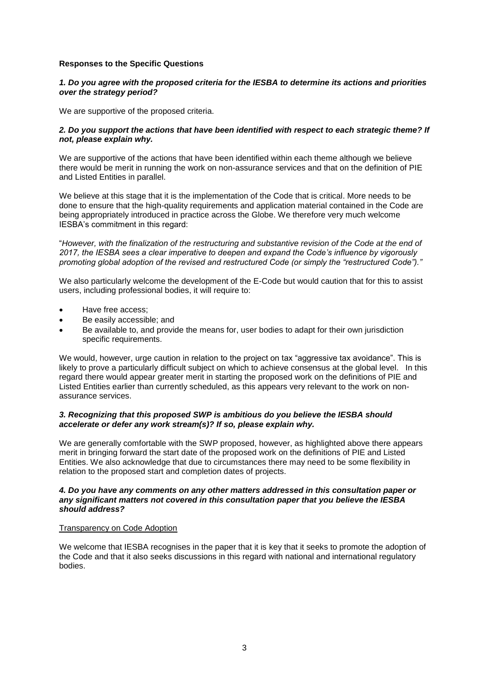# **Responses to the Specific Questions**

## *1. Do you agree with the proposed criteria for the IESBA to determine its actions and priorities over the strategy period?*

We are supportive of the proposed criteria.

## *2. Do you support the actions that have been identified with respect to each strategic theme? If not, please explain why.*

We are supportive of the actions that have been identified within each theme although we believe there would be merit in running the work on non-assurance services and that on the definition of PIE and Listed Entities in parallel.

We believe at this stage that it is the implementation of the Code that is critical. More needs to be done to ensure that the high-quality requirements and application material contained in the Code are being appropriately introduced in practice across the Globe. We therefore very much welcome IESBA's commitment in this regard:

"*However, with the finalization of the restructuring and substantive revision of the Code at the end of 2017, the IESBA sees a clear imperative to deepen and expand the Code's influence by vigorously promoting global adoption of the revised and restructured Code (or simply the "restructured Code")."*

We also particularly welcome the development of the E-Code but would caution that for this to assist users, including professional bodies, it will require to:

- Have free access;
- Be easily accessible; and
- Be available to, and provide the means for, user bodies to adapt for their own jurisdiction specific requirements.

We would, however, urge caution in relation to the project on tax "aggressive tax avoidance". This is likely to prove a particularly difficult subject on which to achieve consensus at the global level. In this regard there would appear greater merit in starting the proposed work on the definitions of PIE and Listed Entities earlier than currently scheduled, as this appears very relevant to the work on nonassurance services.

# *3. Recognizing that this proposed SWP is ambitious do you believe the IESBA should accelerate or defer any work stream(s)? If so, please explain why.*

We are generally comfortable with the SWP proposed, however, as highlighted above there appears merit in bringing forward the start date of the proposed work on the definitions of PIE and Listed Entities. We also acknowledge that due to circumstances there may need to be some flexibility in relation to the proposed start and completion dates of projects.

#### *4. Do you have any comments on any other matters addressed in this consultation paper or any significant matters not covered in this consultation paper that you believe the IESBA should address?*

#### Transparency on Code Adoption

We welcome that IESBA recognises in the paper that it is key that it seeks to promote the adoption of the Code and that it also seeks discussions in this regard with national and international regulatory bodies.